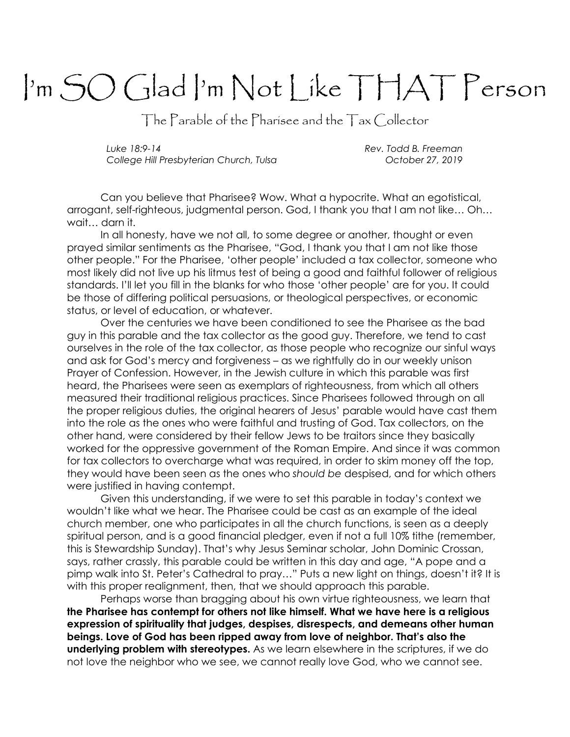## I'm SO Glad I'm Not Like THAT Person

The Parable of the Pharisee and the Tax Collector

Luke 18:9-14 **Rev. Todd B. Freeman** College Hill Presbyterian Church, Tulsa **Church College 12**, 2019

Can you believe that Pharisee? Wow. What a hypocrite. What an egotistical, arrogant, self-righteous, judgmental person. God, I thank you that I am not like… Oh… wait… darn it.

In all honesty, have we not all, to some degree or another, thought or even prayed similar sentiments as the Pharisee, "God, I thank you that I am not like those other people." For the Pharisee, 'other people' included a tax collector, someone who most likely did not live up his litmus test of being a good and faithful follower of religious standards. I'll let you fill in the blanks for who those 'other people' are for you. It could be those of differing political persuasions, or theological perspectives, or economic status, or level of education, or whatever.

Over the centuries we have been conditioned to see the Pharisee as the bad guy in this parable and the tax collector as the good guy. Therefore, we tend to cast ourselves in the role of the tax collector, as those people who recognize our sinful ways and ask for God's mercy and forgiveness – as we rightfully do in our weekly unison Prayer of Confession. However, in the Jewish culture in which this parable was first heard, the Pharisees were seen as exemplars of righteousness, from which all others measured their traditional religious practices. Since Pharisees followed through on all the proper religious duties, the original hearers of Jesus' parable would have cast them into the role as the ones who were faithful and trusting of God. Tax collectors, on the other hand, were considered by their fellow Jews to be traitors since they basically worked for the oppressive government of the Roman Empire. And since it was common for tax collectors to overcharge what was required, in order to skim money off the top, they would have been seen as the ones who should be despised, and for which others were justified in having contempt.

Given this understanding, if we were to set this parable in today's context we wouldn't like what we hear. The Pharisee could be cast as an example of the ideal church member, one who participates in all the church functions, is seen as a deeply spiritual person, and is a good financial pledger, even if not a full 10% tithe (remember, this is Stewardship Sunday). That's why Jesus Seminar scholar, John Dominic Crossan, says, rather crassly, this parable could be written in this day and age, "A pope and a pimp walk into St. Peter's Cathedral to pray…" Puts a new light on things, doesn't it? It is with this proper realignment, then, that we should approach this parable.

Perhaps worse than bragging about his own virtue righteousness, we learn that the Pharisee has contempt for others not like himself. What we have here is a religious expression of spirituality that judges, despises, disrespects, and demeans other human beings. Love of God has been ripped away from love of neighbor. That's also the **underlying problem with stereotypes.** As we learn elsewhere in the scriptures, if we do not love the neighbor who we see, we cannot really love God, who we cannot see.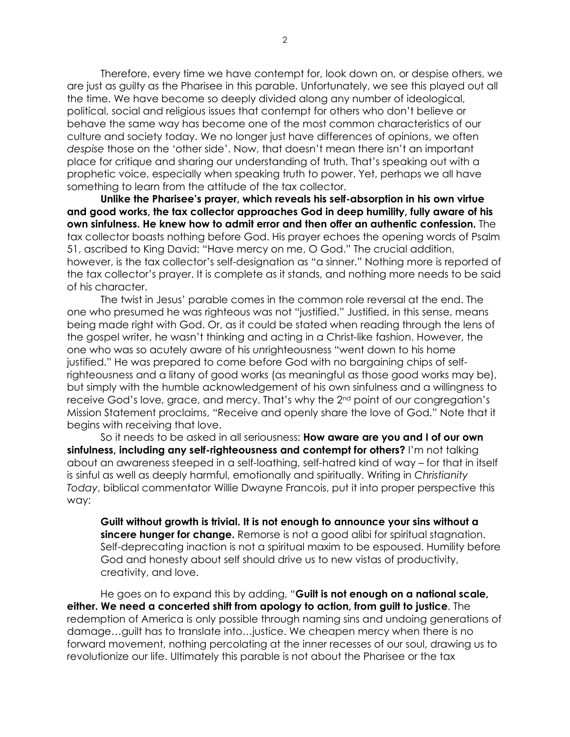Therefore, every time we have contempt for, look down on, or despise others, we are just as guilty as the Pharisee in this parable. Unfortunately, we see this played out all the time. We have become so deeply divided along any number of ideological, political, social and religious issues that contempt for others who don't believe or behave the same way has become one of the most common characteristics of our culture and society today. We no longer just have differences of opinions, we often despise those on the 'other side'. Now, that doesn't mean there isn't an important place for critique and sharing our understanding of truth. That's speaking out with a prophetic voice, especially when speaking truth to power. Yet, perhaps we all have something to learn from the attitude of the tax collector.

Unlike the Pharisee's prayer, which reveals his self-absorption in his own virtue and good works, the tax collector approaches God in deep humility, fully aware of his own sinfulness. He knew how to admit error and then offer an authentic confession. The tax collector boasts nothing before God. His prayer echoes the opening words of Psalm 51, ascribed to King David: "Have mercy on me, O God." The crucial addition, however, is the tax collector's self-designation as "a sinner." Nothing more is reported of the tax collector's prayer. It is complete as it stands, and nothing more needs to be said of his character.

The twist in Jesus' parable comes in the common role reversal at the end. The one who presumed he was righteous was not "justified." Justified, in this sense, means being made right with God. Or, as it could be stated when reading through the lens of the gospel writer, he wasn't thinking and acting in a Christ-like fashion. However, the one who was so acutely aware of his unrighteousness "went down to his home justified." He was prepared to come before God with no bargaining chips of selfrighteousness and a litany of good works (as meaningful as those good works may be), but simply with the humble acknowledgement of his own sinfulness and a willingness to receive God's love, grace, and mercy. That's why the 2nd point of our congregation's Mission Statement proclaims, "Receive and openly share the love of God." Note that it begins with receiving that love.

So it needs to be asked in all seriousness: **How aware are you and I of our own** sinfulness, including any self-righteousness and contempt for others? I'm not talking about an awareness steeped in a self-loathing, self-hatred kind of way – for that in itself is sinful as well as deeply harmful, emotionally and spiritually. Writing in Christianity Today, biblical commentator Willie Dwayne Francois, put it into proper perspective this way:

Guilt without growth is trivial. It is not enough to announce your sins without a sincere hunger for change. Remorse is not a good alibi for spiritual stagnation. Self-deprecating inaction is not a spiritual maxim to be espoused. Humility before God and honesty about self should drive us to new vistas of productivity, creativity, and love.

He goes on to expand this by adding, "Guilt is not enough on a national scale, either. We need a concerted shift from apology to action, from guilt to justice. The redemption of America is only possible through naming sins and undoing generations of damage…guilt has to translate into…justice. We cheapen mercy when there is no forward movement, nothing percolating at the inner recesses of our soul, drawing us to revolutionize our life. Ultimately this parable is not about the Pharisee or the tax